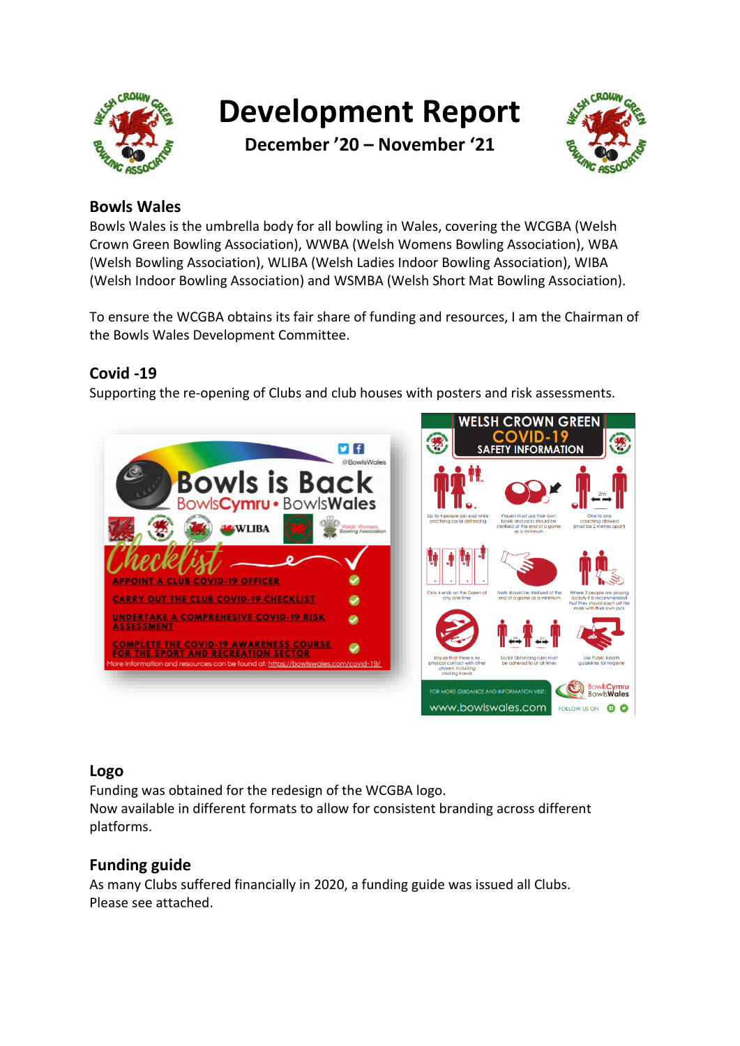

**Development Report**

**December '20 – November '21**



# **Bowls Wales**

Bowls Wales is the umbrella body for all bowling in Wales, covering the WCGBA (Welsh Crown Green Bowling Association), WWBA (Welsh Womens Bowling Association), WBA (Welsh Bowling Association), WLIBA (Welsh Ladies Indoor Bowling Association), WIBA (Welsh Indoor Bowling Association) and WSMBA (Welsh Short Mat Bowling Association).

To ensure the WCGBA obtains its fair share of funding and resources, I am the Chairman of the Bowls Wales Development Committee.

## **Covid -19**

Supporting the re-opening of Clubs and club houses with posters and risk assessments.



## **Logo**

Funding was obtained for the redesign of the WCGBA logo.

Now available in different formats to allow for consistent branding across different platforms.

## **Funding guide**

As many Clubs suffered financially in 2020, a funding guide was issued all Clubs. Please see attached.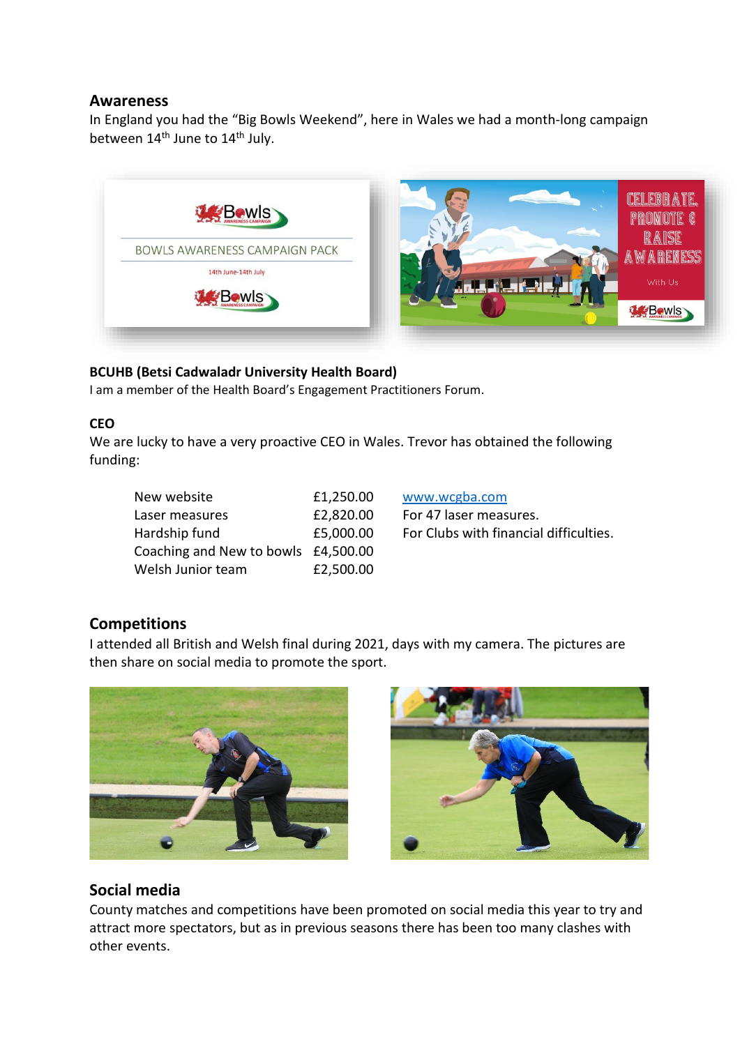#### **Awareness**

In England you had the "Big Bowls Weekend", here in Wales we had a month-long campaign between  $14<sup>th</sup>$  June to  $14<sup>th</sup>$  July.



#### **BCUHB (Betsi Cadwaladr University Health Board)**

I am a member of the Health Board's Engagement Practitioners Forum.

#### **CEO**

We are lucky to have a very proactive CEO in Wales. Trevor has obtained the following funding:

| New website                         | £1,250.00 |
|-------------------------------------|-----------|
| Laser measures                      | £2,820.00 |
| Hardship fund                       | £5,000.00 |
| Coaching and New to bowls £4,500.00 |           |
| Welsh Junior team                   | £2,500.00 |

[www.wcgba.com](http://www.wcgba.com/) For 47 laser measures. For Clubs with financial difficulties.

## **Competitions**

I attended all British and Welsh final during 2021, days with my camera. The pictures are then share on social media to promote the sport.





## **Social media**

County matches and competitions have been promoted on social media this year to try and attract more spectators, but as in previous seasons there has been too many clashes with other events.